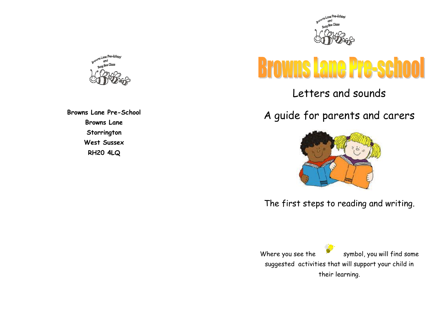

# **Browns Lane Pre-school**

Letters and sounds

A guide for parents and carers



The first steps to reading and writing.

Where you see the  $\frac{1}{x}$  symbol, you will find some suggested activities that will support your child in their learning.



**Browns Lane Pre-School Browns Lane Storrington West Sussex RH20 4LQ**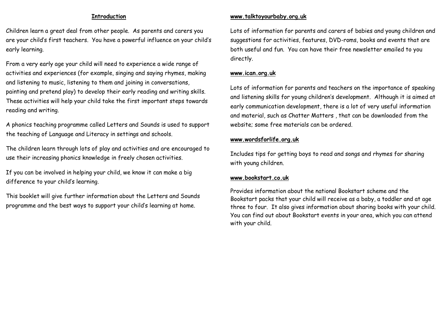#### **Introduction**

Children learn a great deal from other people. As parents and carers you are your child's first teachers. You have a powerful influence on your child's early learning.

From a very early age your child will need to experience a wide range of activities and experiences (for example, singing and saying rhymes, making and listening to music, listening to them and joining in conversations, painting and pretend play) to develop their early reading and writing skills. These activities will help your child take the first important steps towards reading and writing.

A phonics teaching programme called Letters and Sounds is used to support the teaching of Language and Literacy in settings and schools.

The children learn through lots of play and activities and are encouraged to use their increasing phonics knowledge in freely chosen activities.

If you can be involved in helping your child, we know it can make a big difference to your child's learning.

This booklet will give further information about the Letters and Sounds programme and the best ways to support your child's learning at home.

## **www.talktoyourbaby.org.uk**

Lots of information for parents and carers of babies and young children and suggestions for activities, features, DVD-roms, books and events that are both useful and fun. You can have their free newsletter emailed to you directly.

## **www.ican.org.uk**

Lots of information for parents and teachers on the importance of speaking and listening skills for young children's development. Although it is aimed at early communication development, there is a lot of very useful information and material, such as Chatter Matters , that can be downloaded from the website; some free materials can be ordered.

### **www.wordsforlife.org.uk**

Includes tips for getting boys to read and songs and rhymes for sharing with young children.

#### **www.bookstart.co.uk**

Provides information about the national Bookstart scheme and the Bookstart packs that your child will receive as a baby, a toddler and at age three to four. It also gives information about sharing books with your child. You can find out about Bookstart events in your area, which you can attend with your child.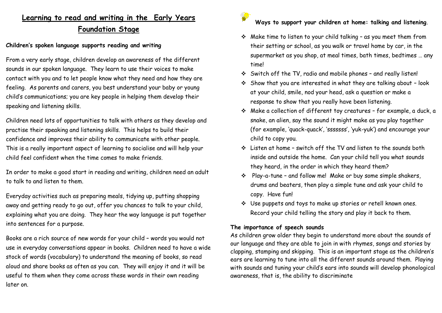# **Learning to read and writing in the Early Years Foundation Stage**

## **Children's spoken language supports reading and writing**

From a very early stage, children develop an awareness of the different sounds in our spoken language. They learn to use their voices to make contact with you and to let people know what they need and how they are feeling. As parents and carers, you best understand your baby or young child's communications; you are key people in helping them develop their speaking and listening skills.

Children need lots of opportunities to talk with others as they develop and practise their speaking and listening skills. This helps to build their confidence and improves their ability to communicate with other people. This is a really important aspect of learning to socialise and will help your child feel confident when the time comes to make friends.

In order to make a good start in reading and writing, children need an adult to talk to and listen to them.

Everyday activities such as preparing meals, tidying up, putting shopping away and getting ready to go out, offer you chances to talk to your child, explaining what you are doing. They hear the way language is put together into sentences for a purpose.

Books are a rich source of new words for your child – words you would not use in everyday conversations appear in books. Children need to have a wide stock of words (vocabulary) to understand the meaning of books, so read aloud and share books as often as you can. They will enjoy it and it will be useful to them when they come across these words in their own reading later on.



## **Ways to support your children at home: talking and listening**.

- ❖ Make time to listen to your child talking as you meet them from their setting or school, as you walk or travel home by car, in the supermarket as you shop, at meal times, bath times, bedtimes … any time!
- ❖ Switch off the TV, radio and mobile phones and really listen!
- ❖ Show that you are interested in what they are talking about look at your child, smile, nod your head, ask a question or make a response to show that you really have been listening.
- ❖ Make a collection of different toy creatures for example, a duck, a snake, an alien, say the sound it might make as you play together (for example, 'quack-quack', 'sssssss', 'yuk-yuk') and encourage your child to copy you.
- ❖ Listen at home switch off the TV and listen to the sounds both inside and outside the home. Can your child tell you what sounds they heard, in the order in which they heard them?
- ❖ Play-a-tune and follow me! Make or buy some simple shakers, drums and beaters, then play a simple tune and ask your child to copy. Have fun!
- ❖ Use puppets and toys to make up stories or retell known ones. Record your child telling the story and play it back to them.

## **The importance of speech sounds**

As children grow older they begin to understand more about the sounds of our language and they are able to join in with rhymes, songs and stories by clapping, stamping and skipping. This is an important stage as the children's ears are learning to tune into all the different sounds around them. Playing with sounds and tuning your child's ears into sounds will develop phonological awareness, that is, the ability to discriminate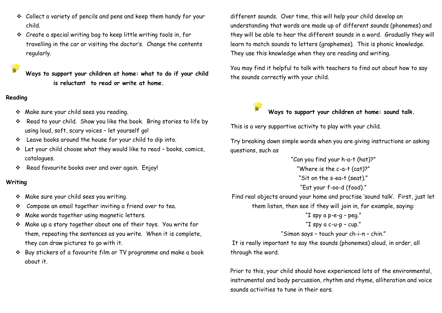- ❖ Collect a variety of pencils and pens and keep them handy for your child.
- ❖ Create a special writing bag to keep little writing tools in, for travelling in the car or visiting the doctor's. Change the contents regularly.

**Ways to support your children at home: what to do if your child is reluctant to read or write at home.**

## **Reading**

**Contract** 

- ❖ Make sure your child sees you reading.
- ❖ Read to your child. Show you like the book. Bring stories to life by using loud, soft, scary voices – let yourself go!
- ❖ Leave books around the house for your child to dip into.
- ❖ Let your child choose what they would like to read books, comics, catalogues.
- ❖ Read favourite books over and over again. Enjoy!

## **Writing**

- ❖ Make sure your child sees you writing.
- ❖ Compose an email together inviting a friend over to tea.
- ❖ Make words together using magnetic letters.
- ❖ Make up a story together about one of their toys. You write for them, repeating the sentences as you write. When it is complete, they can draw pictures to go with it.
- ❖ Buy stickers of a favourite film or TV programme and make a book about it.

different sounds. Over time, this will help your child develop an understanding that words are made up of different sounds (phonemes) and they will be able to hear the different sounds in a word. Gradually they will learn to match sounds to letters (graphemes). This is phonic knowledge. They use this knowledge when they are reading and writing.

You may find it helpful to talk with teachers to find out about how to say the sounds correctly with your child.

# **Ways to support your children at home: sound talk.**

This is a very supportive activity to play with your child.

Try breaking down simple words when you are giving instructions or asking questions, such as

"Can you find your h-a-t (hat)?" "Where is the c-a-t (cat)?" "Sit on the s-ea-t (seat)." "Eat your f-oo-d (food)." Find real objects around your home and practise 'sound talk'. First, just let them listen, then see if they will join in, for example, saying:

```
"I spy a p-e-g – peg."
"I spy a c-u-p – cup."
```
"Simon says – touch your ch-i-n – chin."

It is really important to say the sounds (phonemes) aloud, in order, all through the word.

Prior to this, your child should have experienced lots of the environmental, instrumental and body percussion, rhythm and rhyme, alliteration and voice sounds activities to tune in their ears.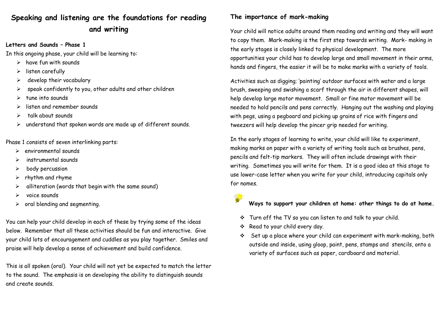# **Speaking and listening are the foundations for reading and writing**

## **Letters and Sounds – Phase 1**

In this ongoing phase, your child will be learning to:

- $\triangleright$  have fun with sounds
- ➢ listen carefully
- $\triangleright$  develop their vocabulary
- $\triangleright$  speak confidently to you, other adults and other children
- ➢ tune into sounds
- ➢ listen and remember sounds
- ➢ talk about sounds
- ➢ understand that spoken words are made up of different sounds.

Phase 1 consists of seven interlinking parts:

- ➢ environmental sounds
- ➢ instrumental sounds
- ➢ body percussion
- $\triangleright$  rhythm and rhyme
- $\triangleright$  alliteration (words that begin with the same sound)
- $\triangleright$  voice sounds
- $\triangleright$  oral blending and segmenting.

You can help your child develop in each of these by trying some of the ideas below. Remember that all these activities should be fun and interactive. Give your child lots of encouragement and cuddles as you play together. Smiles and praise will help develop a sense of achievement and build confidence.

This is all spoken (oral). Your child will not yet be expected to match the letter to the sound. The emphasis is on developing the ability to distinguish sounds and create sounds.

## **The importance of mark-making**

Your child will notice adults around them reading and writing and they will want to copy them. Mark-making is the first step towards writing. Mark- making in the early stages is closely linked to physical development. The more opportunities your child has to develop large and small movement in their arms, hands and fingers, the easier it will be to make marks with a variety of tools.

Activities such as digging; 'painting' outdoor surfaces with water and a large brush, sweeping and swishing a scarf through the air in different shapes, will help develop large motor movement. Small or fine motor movement will be needed to hold pencils and pens correctly. Hanging out the washing and playing with pegs, using a pegboard and picking up grains of rice with fingers and tweezers will help develop the pincer grip needed for writing.

In the early stages of learning to write, your child will like to experiment, making marks on paper with a variety of writing tools such as brushes, pens, pencils and felt-tip markers. They will often include drawings with their writing. Sometimes you will write for them. It is a good idea at this stage to use lower-case letter when you write for your child, introducing capitals only for names.

**Ways to support your children at home: other things to do at home.**

- ❖ Turn off the TV so you can listen to and talk to your child.
- ❖ Read to your child every day.
- ❖ Set up a place where your child can experiment with mark-making, both outside and inside, using gloop, paint, pens, stamps and stencils, onto a variety of surfaces such as paper, cardboard and material.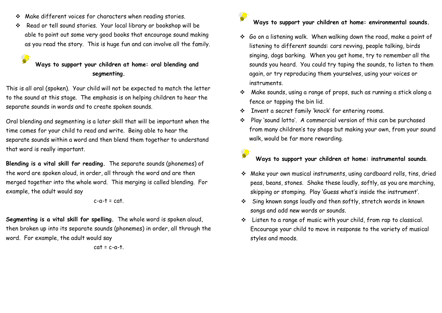❖ Make different voices for characters when reading stories.

S

❖ Read or tell sound stories. Your local library or bookshop will be able to point out some very good books that encourage sound making as you read the story. This is huge fun and can involve all the family.

# **Ways to support your children at home: oral blending and segmenting.**

This is all oral (spoken). Your child will not be expected to match the letter to the sound at this stage. The emphasis is on helping children to hear the separate sounds in words and to create spoken sounds.

Oral blending and segmenting is a later skill that will be important when the time comes for your child to read and write. Being able to hear the separate sounds within a word and then blend them together to understand that word is really important.

**Blending is a vital skill for reading.** The separate sounds (phonemes) of the word are spoken aloud, in order, all through the word and are then merged together into the whole word. This merging is called blending. For example, the adult would say

#### $c-a-t = cat$ .

**Segmenting is a vital skill for spelling.** The whole word is spoken aloud, then broken up into its separate sounds (phonemes) in order, all through the word. For example, the adult would say

#### $cat = c-a-t$

## **Ways to support your children at home: environmental sounds.**

- ❖ Go on a listening walk. When walking down the road, make a point of listening to different sounds: cars revving, people talking, birds singing, dogs barking. When you get home, try to remember all the sounds you heard. You could try taping the sounds, to listen to them again, or try reproducing them yourselves, using your voices or instruments.
- ❖ Make sounds, using a range of props, such as running a stick along a fence or tapping the bin lid.
- ❖ Invent a secret family 'knock' for entering rooms.
- ❖ Play 'sound lotto'. A commercial version of this can be purchased from many children's toy shops but making your own, from your sound walk, would be far more rewarding.

# **Ways to support your children at home: instrumental sounds**.

- ❖ Make your own musical instruments, using cardboard rolls, tins, dried peas, beans, stones. Shake these loudly, softly, as you are marching, skipping or stomping. Play 'Guess what's inside the instrument'.
- ❖ Sing known songs loudly and then softly, stretch words in known songs and add new words or sounds.
- ❖ Listen to a range of music with your child, from rap to classical. Encourage your child to move in response to the variety of musical styles and moods.